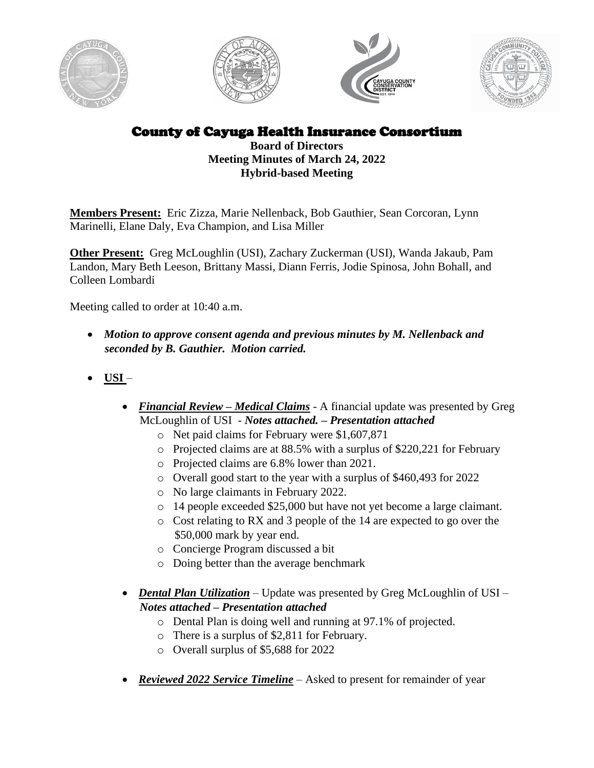







County of Cayuga Health Insurance Consortium

**Board of Directors Meeting Minutes of March 24, 2022 Hybrid-based Meeting**

**Members Present:** Eric Zizza, Marie Nellenback, Bob Gauthier, Sean Corcoran, Lynn Marinelli, Elane Daly, Eva Champion, and Lisa Miller

**Other Present:** Greg McLoughlin (USI), Zachary Zuckerman (USI), Wanda Jakaub, Pam Landon, Mary Beth Leeson, Brittany Massi, Diann Ferris, Jodie Spinosa, John Bohall, and Colleen Lombardi

Meeting called to order at 10:40 a.m.

- *Motion to approve consent agenda and previous minutes by M. Nellenback and seconded by B. Gauthier. Motion carried.*
- **USI** 
	- *Financial Review – Medical Claims* A financial update was presented by Greg McLoughlin of USI - *Notes attached. – Presentation attached*
		- o Net paid claims for February were \$1,607,871
		- o Projected claims are at 88.5% with a surplus of \$220,221 for February
		- o Projected claims are 6.8% lower than 2021.
		- o Overall good start to the year with a surplus of \$460,493 for 2022
		- o No large claimants in February 2022.
		- o 14 people exceeded \$25,000 but have not yet become a large claimant.
		- o Cost relating to RX and 3 people of the 14 are expected to go over the \$50,000 mark by year end.
		- o Concierge Program discussed a bit
		- o Doing better than the average benchmark
	- *Dental Plan Utilization* Update was presented by Greg McLoughlin of USI *Notes attached – Presentation attached*
		- o Dental Plan is doing well and running at 97.1% of projected.
		- o There is a surplus of \$2,811 for February.
		- o Overall surplus of \$5,688 for 2022
	- *Reviewed 2022 Service Timeline* Asked to present for remainder of year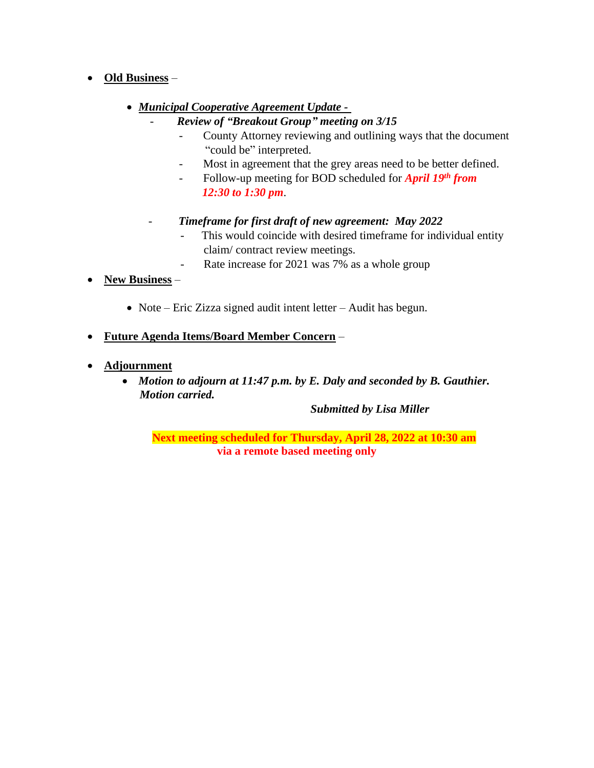- **Old Business**
	- *Municipal Cooperative Agreement Update -*
		- *Review of "Breakout Group" meeting on 3/15*
			- County Attorney reviewing and outlining ways that the document "could be" interpreted.
			- Most in agreement that the grey areas need to be better defined.
			- Follow-up meeting for BOD scheduled for *April 19th from 12:30 to 1:30 pm*.
		- *Timeframe for first draft of new agreement: May 2022*
			- This would coincide with desired timeframe for individual entity claim/ contract review meetings.
			- Rate increase for 2021 was 7% as a whole group
- **New Business**
	- Note Eric Zizza signed audit intent letter Audit has begun.
- **Future Agenda Items/Board Member Concern** –
- **Adjournment**
	- *Motion to adjourn at 11:47 p.m. by E. Daly and seconded by B. Gauthier. Motion carried.*

*Submitted by Lisa Miller*

**Next meeting scheduled for Thursday, April 28, 2022 at 10:30 am via a remote based meeting only**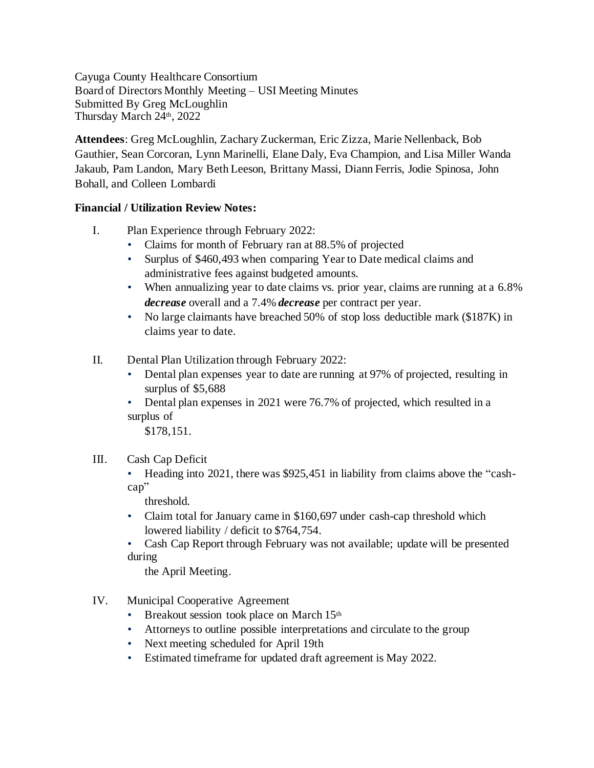Cayuga County Healthcare Consortium Board of Directors Monthly Meeting – USI Meeting Minutes Submitted By Greg McLoughlin Thursday March 24<sup>th</sup>, 2022

**Attendees**: Greg McLoughlin, Zachary Zuckerman, Eric Zizza, Marie Nellenback, Bob Gauthier, Sean Corcoran, Lynn Marinelli, Elane Daly, Eva Champion, and Lisa Miller Wanda Jakaub, Pam Landon, Mary Beth Leeson, Brittany Massi, Diann Ferris, Jodie Spinosa, John Bohall, and Colleen Lombardi

## **Financial / Utilization Review Notes:**

- I. Plan Experience through February 2022:
	- Claims for month of February ran at 88.5% of projected
	- Surplus of \$460,493 when comparing Year to Date medical claims and administrative fees against budgeted amounts.
	- When annualizing year to date claims vs. prior year, claims are running at a 6.8% *decrease* overall and a 7.4% *decrease* per contract per year.
	- No large claimants have breached 50% of stop loss deductible mark (\$187K) in claims year to date.
- II. Dental Plan Utilization through February 2022:
	- Dental plan expenses year to date are running at 97% of projected, resulting in surplus of \$5,688
	- Dental plan expenses in 2021 were 76.7% of projected, which resulted in a surplus of

\$178,151.

- III. Cash Cap Deficit
	- Heading into 2021, there was \$925,451 in liability from claims above the "cashcap"

threshold.

- Claim total for January came in \$160,697 under cash-cap threshold which lowered liability / deficit to \$764,754.
- Cash Cap Report through February was not available; update will be presented during

the April Meeting.

- IV. Municipal Cooperative Agreement
	- Breakout session took place on March  $15<sup>th</sup>$
	- Attorneys to outline possible interpretations and circulate to the group
	- Next meeting scheduled for April 19th
	- Estimated timeframe for updated draft agreement is May 2022.